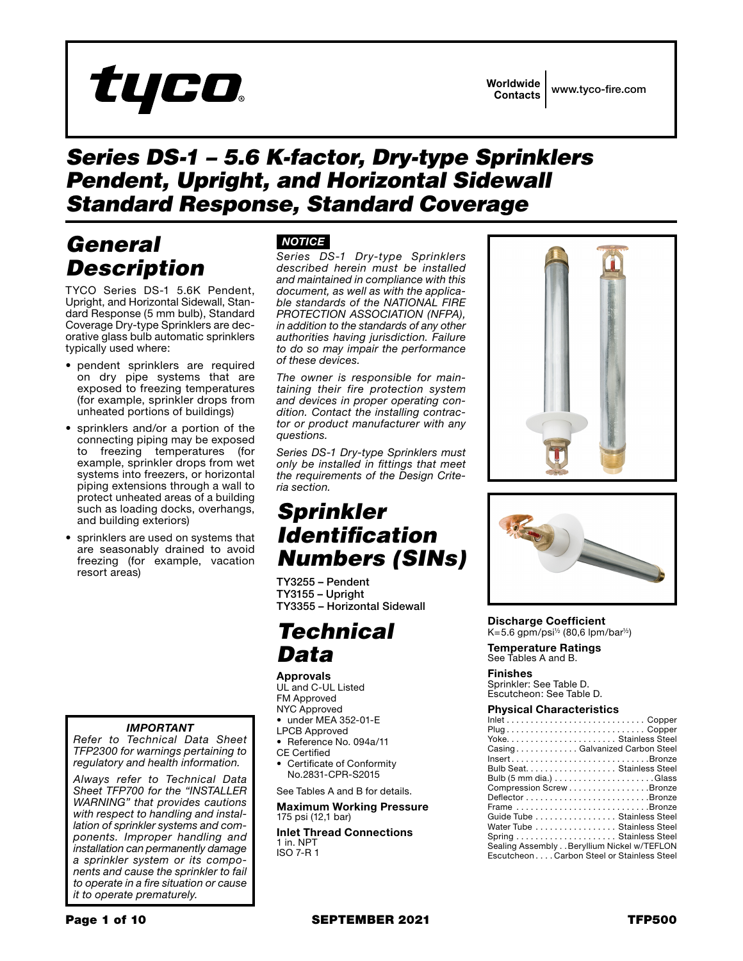

# *Series DS-1 – 5.6 K-factor, Dry-type Sprinklers Pendent, Upright, and Horizontal Sidewall Standard Response, Standard Coverage*

# *General Description*

TYCO Series DS-1 5.6K Pendent, Upright, and Horizontal Sidewall, Standard Response (5 mm bulb), Standard Coverage Dry-type Sprinklers are decorative glass bulb automatic sprinklers typically used where:

- pendent sprinklers are required on dry pipe systems that are exposed to freezing temperatures (for example, sprinkler drops from unheated portions of buildings)
- sprinklers and/or a portion of the connecting piping may be exposed to freezing temperatures (for example, sprinkler drops from wet systems into freezers, or horizontal piping extensions through a wall to protect unheated areas of a building such as loading docks, overhangs, and building exteriors)
- sprinklers are used on systems that are seasonably drained to avoid freezing (for example, vacation resort areas)

## *IMPORTANT*

*Refer to Technical Data Sheet TFP2300 for warnings pertaining to regulatory and health information.*

*Always refer to Technical Data Sheet TFP700 for the "INSTALLER WARNING" that provides cautions with respect to handling and installation of sprinkler systems and components. Improper handling and installation can permanently damage a sprinkler system or its components and cause the sprinkler to fail to operate in a fire situation or cause it to operate prematurely.*

# *NOTICE*

*Series DS-1 Dry-type Sprinklers described herein must be installed and maintained in compliance with this document, as well as with the applicable standards of the NATIONAL FIRE PROTECTION ASSOCIATION (NFPA), in addition to the standards of any other authorities having jurisdiction. Failure to do so may impair the performance of these devices.*

*The owner is responsible for maintaining their fire protection system and devices in proper operating condition. Contact the installing contractor or product manufacturer with any questions.*

*Series DS-1 Dry-type Sprinklers must only be installed in fittings that meet the requirements of the Design Criteria section.*

# *Sprinkler Identification Numbers (SINs)*

TY3255 – Pendent TY3155 – Upright TY3355 – Horizontal Sidewall

# *Technical Data*

**Approvals** UL and C-UL Listed FM Approved NYC Approved

- under MEA 352-01-E
- LPCB Approved
- Reference No. 094a/11
- CE Certified
- Certificate of Conformity No.2831-CPR-S2015

See Tables A and B for details.

**Maximum Working Pressure** 175 psi (12,1 bar)

**Inlet Thread Connections** 1 in. NPT ISO 7-R 1





**Discharge Coefficient**  $K=5.6$  gpm/psi<sup>1/2</sup> (80,6 lpm/bar<sup>1/2</sup>)

**Temperature Ratings** See Tables A and B.

**Finishes** Sprinkler: See Table D. Escutcheon: See Table D.

### **Physical Characteristics**

| $Inlet \ldots \ldots \ldots \ldots \ldots \ldots \ldots \ldots \ldots$ . Copper |
|---------------------------------------------------------------------------------|
|                                                                                 |
| Yoke Stainless Steel                                                            |
| CasingGalvanized Carbon Steel                                                   |
| $Insert$ Bronze                                                                 |
| Bulb Seat. Stainless Steel                                                      |
|                                                                                 |
| Compression Screw Bronze                                                        |
|                                                                                 |
| Frame Bronze                                                                    |
| Guide Tube Stainless Steel                                                      |
| Water Tube Stainless Steel                                                      |
| Spring  Stainless Steel                                                         |
| Sealing Assembly Beryllium Nickel w/TEFLON                                      |
| EscutcheonCarbon Steel or Stainless Steel                                       |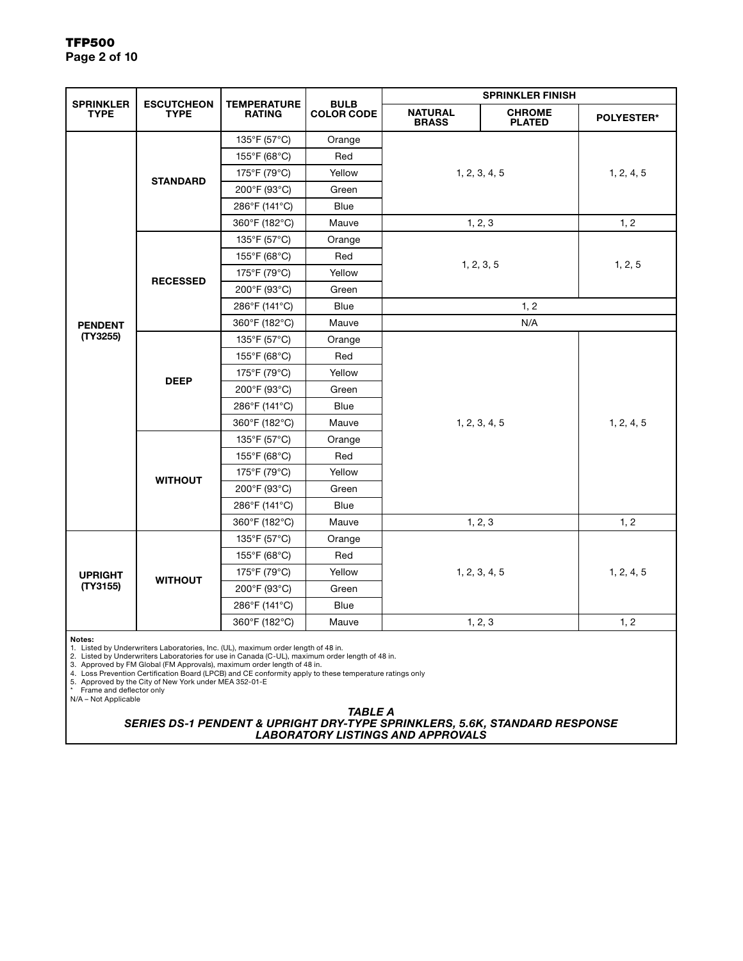|                                 | <b>ESCUTCHEON</b><br><b>TYPE</b> | <b>TEMPERATURE</b><br><b>RATING</b> | <b>BULB</b><br><b>COLOR CODE</b> | <b>SPRINKLER FINISH</b>        |                                |                   |
|---------------------------------|----------------------------------|-------------------------------------|----------------------------------|--------------------------------|--------------------------------|-------------------|
| <b>SPRINKLER</b><br><b>TYPE</b> |                                  |                                     |                                  | <b>NATURAL</b><br><b>BRASS</b> | <b>CHROME</b><br><b>PLATED</b> | <b>POLYESTER*</b> |
|                                 | <b>STANDARD</b>                  | 135°F (57°C)                        | Orange                           |                                |                                |                   |
|                                 |                                  | 155°F (68°C)                        | Red                              | 1, 2, 3, 4, 5                  |                                |                   |
|                                 |                                  | 175°F (79°C)                        | Yellow                           |                                |                                | 1, 2, 4, 5        |
|                                 |                                  | 200°F (93°C)                        | Green                            |                                |                                |                   |
|                                 |                                  | 286°F (141°C)                       | <b>Blue</b>                      |                                |                                |                   |
|                                 |                                  | 360°F (182°C)                       | Mauve                            | 1, 2, 3                        |                                | 1, 2              |
|                                 |                                  | 135°F (57°C)                        | Orange                           |                                |                                |                   |
|                                 |                                  | 155°F (68°C)                        | Red                              |                                |                                | 1, 2, 5           |
|                                 | <b>RECESSED</b>                  | 175°F (79°C)                        | Yellow                           |                                | 1, 2, 3, 5                     |                   |
|                                 |                                  | 200°F (93°C)                        | Green                            |                                |                                |                   |
|                                 |                                  | 286°F (141°C)                       | Blue                             | 1, 2                           |                                |                   |
| <b>PENDENT</b>                  |                                  | 360°F (182°C)                       | Mauve                            |                                | N/A                            |                   |
| (TY3255)                        |                                  | 135°F (57°C)                        | Orange                           |                                |                                |                   |
|                                 | <b>DEEP</b>                      | 155°F (68°C)                        | Red                              | 1, 2, 3, 4, 5                  |                                |                   |
|                                 |                                  | 175°F (79°C)                        | Yellow                           |                                |                                |                   |
|                                 |                                  | 200°F (93°C)                        | Green                            |                                |                                |                   |
|                                 |                                  | 286°F (141°C)                       | Blue                             |                                |                                |                   |
|                                 |                                  | 360°F (182°C)                       | Mauve                            |                                |                                | 1, 2, 4, 5        |
|                                 |                                  | 135°F (57°C)                        | Orange                           |                                |                                |                   |
|                                 |                                  | 155°F (68°C)                        | Red                              |                                |                                |                   |
|                                 | <b>WITHOUT</b>                   | 175°F (79°C)                        | Yellow                           |                                |                                |                   |
|                                 |                                  | 200°F (93°C)                        | Green                            |                                |                                |                   |
|                                 |                                  | 286°F (141°C)                       | <b>Blue</b>                      |                                |                                |                   |
|                                 |                                  | 360°F (182°C)                       | Mauve                            | 1, 2, 3                        |                                | 1, 2              |
|                                 | <b>WITHOUT</b>                   | 135°F (57°C)                        | Orange                           | 1, 2, 3, 4, 5                  |                                |                   |
|                                 |                                  | 155°F (68°C)                        | Red                              |                                |                                |                   |
| <b>UPRIGHT</b>                  |                                  | 175°F (79°C)                        | Yellow                           |                                |                                | 1, 2, 4, 5        |
| (TY3155)                        |                                  | 200°F (93°C)                        | Green                            |                                |                                |                   |
|                                 |                                  | 286°F (141°C)                       | Blue                             |                                |                                |                   |
|                                 |                                  | 360°F (182°C)                       | Mauve                            | 1, 2, 3                        |                                | 1, 2              |

Notes:<br>1. Listed by Underwriters Laboratories, Inc. (UL), maximum order length of 48 in.<br>2. Listed by Underwriters Laboratories for use in Canada (C-UL), maximum order length of 48 in.<br>3. Approved by FM Global (FM Approval

*TABLE A SERIES DS-1 PENDENT & UPRIGHT DRY-TYPE SPRINKLERS, 5.6K, STANDARD RESPONSE LABORATORY LISTINGS AND APPROVALS*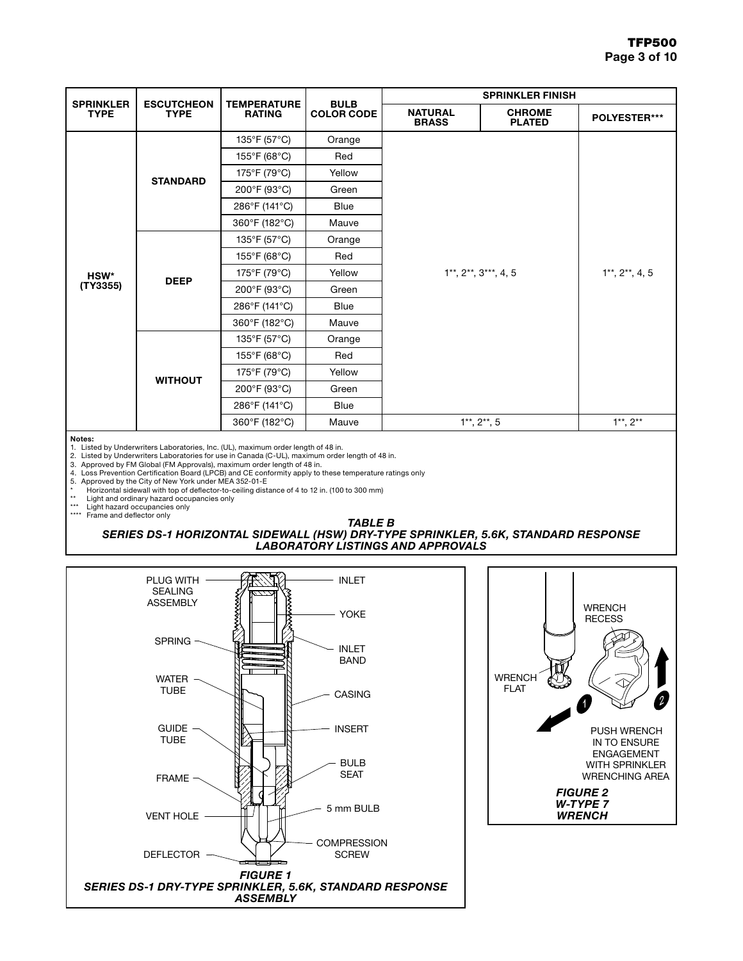| <b>SPRINKLER</b> | <b>ESCUTCHEON</b><br><b>TYPE</b> | <b>TEMPERATURE</b><br><b>RATING</b> | <b>BULB</b><br><b>COLOR CODE</b> | <b>SPRINKLER FINISH</b>                               |                                |               |  |
|------------------|----------------------------------|-------------------------------------|----------------------------------|-------------------------------------------------------|--------------------------------|---------------|--|
| <b>TYPE</b>      |                                  |                                     |                                  | <b>NATURAL</b><br><b>BRASS</b>                        | <b>CHROME</b><br><b>PLATED</b> | POLYESTER***  |  |
|                  |                                  | 135°F (57°C)                        | Orange                           |                                                       |                                |               |  |
|                  |                                  | 155°F (68°C)                        | Red                              |                                                       |                                |               |  |
|                  | <b>STANDARD</b>                  | 175°F (79°C)                        | Yellow                           |                                                       |                                |               |  |
|                  |                                  | 200°F (93°C)                        | Green                            |                                                       |                                |               |  |
|                  |                                  | 286°F (141°C)                       | <b>Blue</b>                      |                                                       |                                |               |  |
|                  |                                  | 360°F (182°C)                       | Mauve                            |                                                       |                                |               |  |
|                  | <b>DEEP</b>                      | 135°F (57°C)                        | Orange                           |                                                       |                                |               |  |
|                  |                                  | 155°F (68°C)                        | Red                              |                                                       |                                |               |  |
| HSW*             |                                  | 175°F (79°C)                        | Yellow                           | $1**$ , $2**$ , $3***$ , 4, 5<br>$1**$ , $2**$ , 4, 5 |                                |               |  |
| (TY3355)         |                                  | 200°F (93°C)                        | Green                            |                                                       |                                |               |  |
|                  |                                  | 286°F (141°C)                       | <b>Blue</b>                      |                                                       |                                |               |  |
|                  |                                  | 360°F (182°C)                       | Mauve                            |                                                       |                                |               |  |
|                  | <b>WITHOUT</b>                   | 135°F (57°C)                        | Orange                           |                                                       |                                |               |  |
|                  |                                  | 155°F (68°C)                        | Red                              |                                                       |                                |               |  |
|                  |                                  | 175°F (79°C)                        | Yellow                           |                                                       |                                |               |  |
|                  |                                  | 200°F (93°C)                        | Green                            |                                                       |                                |               |  |
|                  |                                  | 286°F (141°C)                       | <b>Blue</b>                      |                                                       |                                |               |  |
|                  |                                  | 360°F (182°C)                       | Mauve                            |                                                       | $1**$ , $2**$ , 5              | $1**$ , $2**$ |  |

Notes:

1. Listed by Underwriters Laboratories, Inc. (UL), maximum order length of 48 in.

2. Listed by Underwriters Laboratories for use in Canada (C-UL), maximum order length of 48 in. 3. Approved by FM Global (FM Approvals), maximum order length of 48 in.

4. Loss Prevention Certification Board (LPCB) and CE conformity apply to these temperature ratings only<br>5. Approved by the City of New York under MEA 352-01-E<br>\* Horizontal sidewall with top of deflector-to-ceiling d

\*\* Light and ordinary hazard occupancies only

Light hazard occupancies only

\*\*\*\* Frame and deflector only

### *TABLE B SERIES DS-1 HORIZONTAL SIDEWALL (HSW) DRY-TYPE SPRINKLER, 5.6K, STANDARD RESPONSE*

*LABORATORY LISTINGS AND APPROVALS*



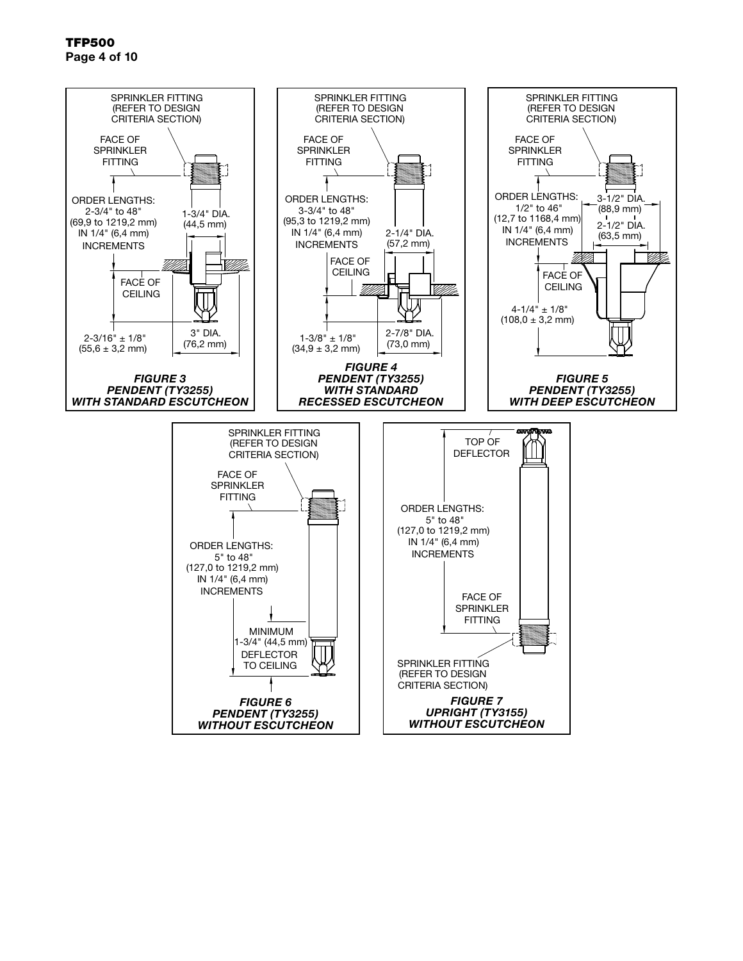TFP500 Page 4 of 10

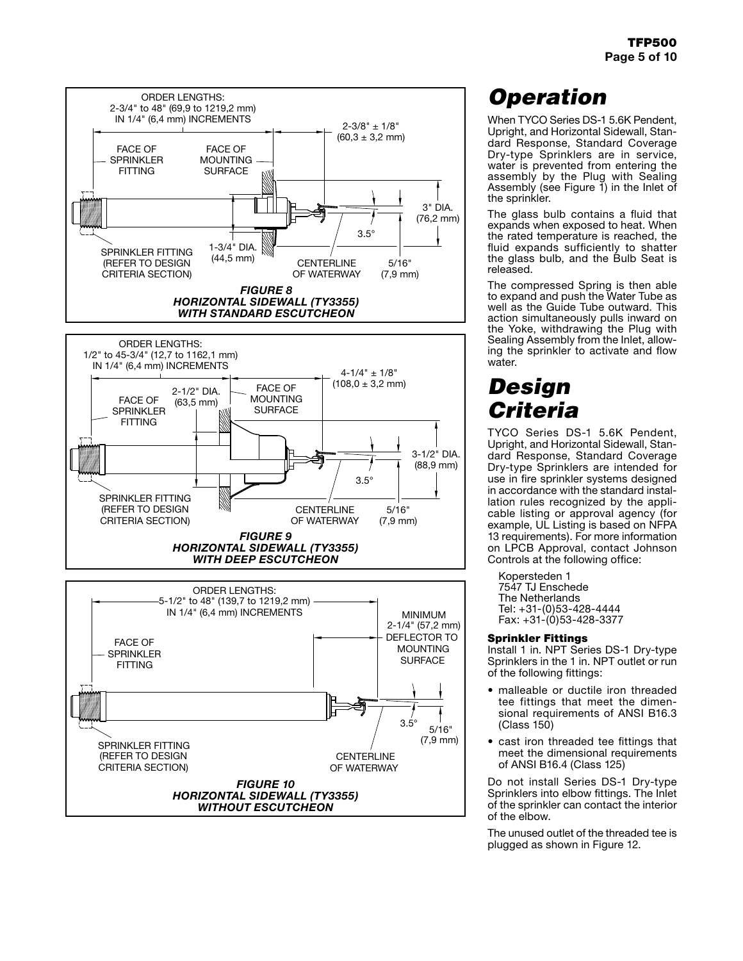

# *Operation*

When TYCO Series DS-1 5.6K Pendent, Upright, and Horizontal Sidewall, Standard Response, Standard Coverage Dry-type Sprinklers are in service, water is prevented from entering the assembly by the Plug with Sealing Assembly (see Figure 1) in the Inlet of the sprinkler.

The glass bulb contains a fluid that expands when exposed to heat. When the rated temperature is reached, the fluid expands sufficiently to shatter the glass bulb, and the Bulb Seat is released.

The compressed Spring is then able to expand and push the Water Tube as well as the Guide Tube outward. This action simultaneously pulls inward on the Yoke, withdrawing the Plug with Sealing Assembly from the Inlet, allowing the sprinkler to activate and flow water.

# *Design Criteria*

TYCO Series DS-1 5.6K Pendent, Upright, and Horizontal Sidewall, Standard Response, Standard Coverage Dry-type Sprinklers are intended for use in fire sprinkler systems designed in accordance with the standard installation rules recognized by the applicable listing or approval agency (for example, UL Listing is based on NFPA 13 requirements). For more information on LPCB Approval, contact Johnson Controls at the following office:

Kopersteden 1 7547 TJ Enschede The Netherlands Tel: +31-(0)53-428-4444 Fax: +31-(0)53-428-3377

## Sprinkler Fittings

Install 1 in. NPT Series DS-1 Dry-type Sprinklers in the 1 in. NPT outlet or run of the following fittings:

- malleable or ductile iron threaded tee fittings that meet the dimensional requirements of ANSI B16.3 (Class 150)
- cast iron threaded tee fittings that meet the dimensional requirements of ANSI B16.4 (Class 125)

Do not install Series DS-1 Dry-type Sprinklers into elbow fittings. The Inlet of the sprinkler can contact the interior of the elbow.

The unused outlet of the threaded tee is plugged as shown in Figure 12.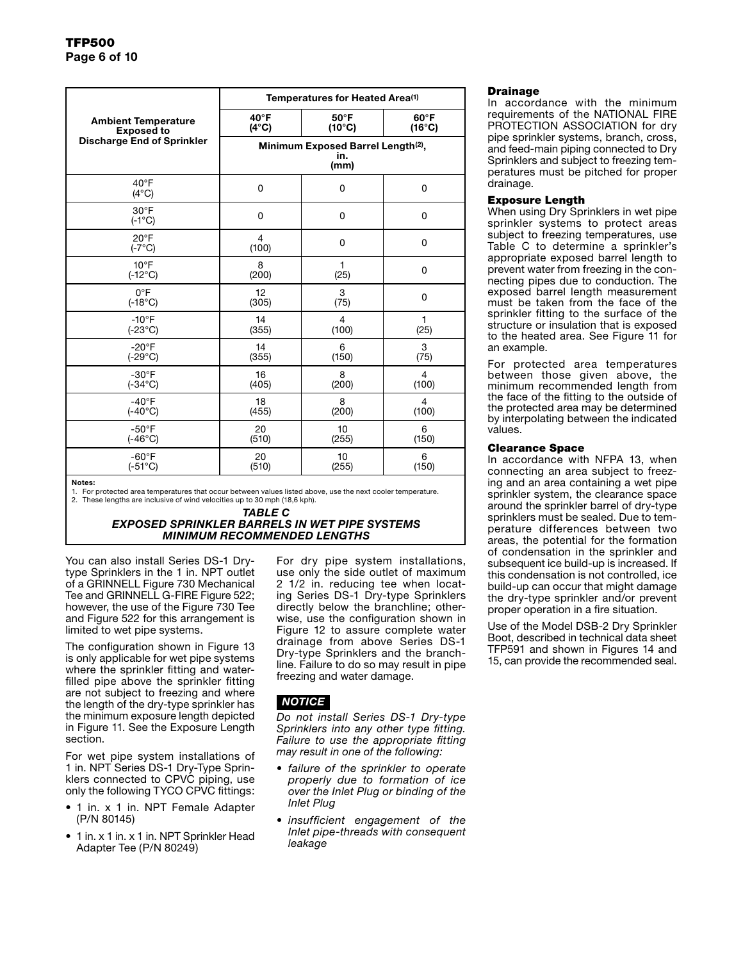| <b>Ambient Temperature</b><br><b>Exposed to</b><br><b>Discharge End of Sprinkler</b> | Temperatures for Heated Area <sup>(1)</sup>                   |                                   |                                   |  |  |  |
|--------------------------------------------------------------------------------------|---------------------------------------------------------------|-----------------------------------|-----------------------------------|--|--|--|
|                                                                                      | $40^{\circ}$ F<br>$(4^{\circ}C)$                              | $50^{\circ}$ F<br>$(10^{\circ}C)$ | $60^{\circ}$ F<br>$(16^{\circ}C)$ |  |  |  |
|                                                                                      | Minimum Exposed Barrel Length <sup>(2)</sup> ,<br>in.<br>(mm) |                                   |                                   |  |  |  |
| $40^{\circ}$ F<br>$(4^{\circ}C)$                                                     | $\mathbf 0$                                                   | 0                                 | $\mathbf 0$                       |  |  |  |
| $30^{\circ}$ F<br>$(-1^{\circ}C)$                                                    | $\mathbf 0$                                                   | $\mathbf 0$                       | 0                                 |  |  |  |
| $20^{\circ}$ F<br>$(-7^{\circ}C)$                                                    | $\overline{4}$<br>(100)                                       | $\mathbf 0$                       | 0                                 |  |  |  |
| $10^{\circ}$ F                                                                       | 8                                                             | 1                                 | 0                                 |  |  |  |
| $(-12^{\circ}C)$                                                                     | (200)                                                         | (25)                              |                                   |  |  |  |
| $0^{\circ}$ F                                                                        | 12                                                            | 3                                 | 0                                 |  |  |  |
| $(-18^{\circ}C)$                                                                     | (305)                                                         | (75)                              |                                   |  |  |  |
| $-10^{\circ}$ F                                                                      | 14                                                            | $\overline{4}$                    | $\mathbf{1}$                      |  |  |  |
| $(-23^{\circ}C)$                                                                     | (355)                                                         | (100)                             | (25)                              |  |  |  |
| $-20^{\circ}F$                                                                       | 14                                                            | 6                                 | 3                                 |  |  |  |
| $(-29^{\circ}C)$                                                                     | (355)                                                         | (150)                             | (75)                              |  |  |  |
| $-30^\circ$ F                                                                        | 16                                                            | 8                                 | 4                                 |  |  |  |
| $(-34^{\circ}C)$                                                                     | (405)                                                         | (200)                             | (100)                             |  |  |  |
| $-40^{\circ}F$                                                                       | 18                                                            | 8                                 | $\overline{4}$                    |  |  |  |
| $(-40^{\circ}C)$                                                                     | (455)                                                         | (200)                             | (100)                             |  |  |  |
| $-50^{\circ}$ F                                                                      | 20                                                            | 10                                | 6                                 |  |  |  |
| $(-46^{\circ}C)$                                                                     | (510)                                                         | (255)                             | (150)                             |  |  |  |
| $-60^{\circ}F$                                                                       | 20                                                            | 10                                | 6                                 |  |  |  |
| $(-51^{\circ}C)$                                                                     | (510)                                                         | (255)                             | (150)                             |  |  |  |

Notes:

1. For protected area temperatures that occur between values listed above, use the next cooler temperature. 2. These lengths are inclusive of wind velocities up to 30 mph (18,6 kph).

#### *TABLE C EXPOSED SPRINKLER BARRELS IN WET PIPE SYSTEMS MINIMUM RECOMMENDED LENGTHS*

You can also install Series DS-1 Drytype Sprinklers in the 1 in. NPT outlet of a GRINNELL Figure 730 Mechanical Tee and GRINNELL G-FIRE Figure 522; however, the use of the Figure 730 Tee and Figure 522 for this arrangement is limited to wet pipe systems.

The configuration shown in Figure 13 is only applicable for wet pipe systems where the sprinkler fitting and waterfilled pipe above the sprinkler fitting are not subject to freezing and where the length of the dry-type sprinkler has the minimum exposure length depicted in Figure 11. See the Exposure Length section.

For wet pipe system installations of 1 in. NPT Series DS-1 Dry-Type Sprinklers connected to CPVC piping, use only the following TYCO CPVC fittings:

- 1 in. x 1 in. NPT Female Adapter (P/N 80145)
- 1 in. x 1 in. x 1 in. NPT Sprinkler Head Adapter Tee (P/N 80249)

For dry pipe system installations, use only the side outlet of maximum 2 1/2 in. reducing tee when locating Series DS-1 Dry-type Sprinklers directly below the branchline; otherwise, use the configuration shown in Figure 12 to assure complete water drainage from above Series DS-1 Dry-type Sprinklers and the branchline. Failure to do so may result in pipe freezing and water damage.

# *NOTICE*

*Do not install Series DS-1 Dry-type Sprinklers into any other type fitting. Failure to use the appropriate fitting may result in one of the following:*

- *• failure of the sprinkler to operate properly due to formation of ice over the Inlet Plug or binding of the Inlet Plug*
- *• insufficient engagement of the Inlet pipe-threads with consequent leakage*

#### Drainage

In accordance with the minimum requirements of the NATIONAL FIRE PROTECTION ASSOCIATION for dry pipe sprinkler systems, branch, cross, and feed-main piping connected to Dry Sprinklers and subject to freezing temperatures must be pitched for proper drainage.

### Exposure Length

When using Dry Sprinklers in wet pipe sprinkler systems to protect areas subject to freezing temperatures, use Table C to determine a sprinkler's appropriate exposed barrel length to prevent water from freezing in the connecting pipes due to conduction. The exposed barrel length measurement must be taken from the face of the sprinkler fitting to the surface of the structure or insulation that is exposed to the heated area. See Figure 11 for an example.

For protected area temperatures between those given above, the minimum recommended length from the face of the fitting to the outside of the protected area may be determined by interpolating between the indicated values.

### Clearance Space

In accordance with NFPA 13, when connecting an area subject to freezing and an area containing a wet pipe sprinkler system, the clearance space around the sprinkler barrel of dry-type sprinklers must be sealed. Due to temperature differences between two areas, the potential for the formation of condensation in the sprinkler and subsequent ice build-up is increased. If this condensation is not controlled, ice build-up can occur that might damage the dry-type sprinkler and/or prevent proper operation in a fire situation.

Use of the Model DSB-2 Dry Sprinkler Boot, described in technical data sheet TFP591 and shown in Figures 14 and 15, can provide the recommended seal.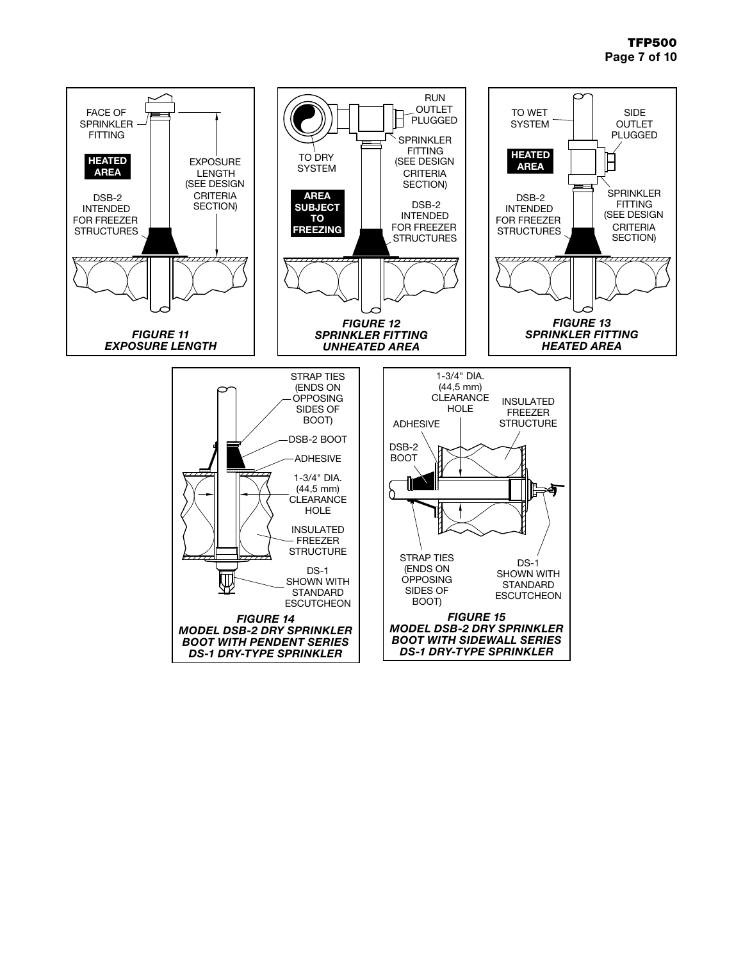# TFP500 Page 7 of 10

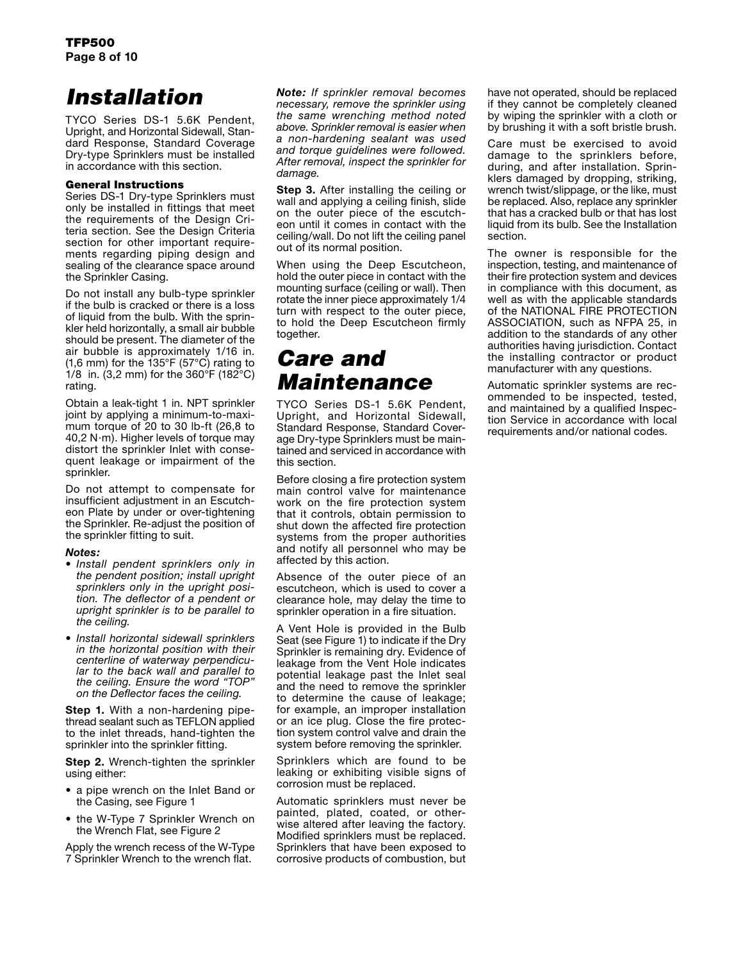# *Installation*

TYCO Series DS-1 5.6K Pendent, Upright, and Horizontal Sidewall, Standard Response, Standard Coverage Dry-type Sprinklers must be installed in accordance with this section.

### General Instructions

Series DS-1 Dry-type Sprinklers must only be installed in fittings that meet the requirements of the Design Criteria section. See the Design Criteria section for other important requirements regarding piping design and sealing of the clearance space around the Sprinkler Casing.

Do not install any bulb-type sprinkler if the bulb is cracked or there is a loss of liquid from the bulb. With the sprinkler held horizontally, a small air bubble should be present. The diameter of the air bubble is approximately 1/16 in. (1,6 mm) for the 135°F (57°C) rating to 1/8 in.  $(3, 2 \text{ mm})$  for the 360°F (182°C) rating.

Obtain a leak-tight 1 in. NPT sprinkler joint by applying a minimum-to-maximum torque of 20 to 30 lb-ft (26,8 to 40,2 N·m). Higher levels of torque may distort the sprinkler Inlet with consequent leakage or impairment of the sprinkler.

Do not attempt to compensate for insufficient adjustment in an Escutcheon Plate by under or over-tightening the Sprinkler. Re-adjust the position of the sprinkler fitting to suit.

## *Notes:*

- *• Install pendent sprinklers only in the pendent position; install upright sprinklers only in the upright position. The deflector of a pendent or upright sprinkler is to be parallel to the ceiling.*
- *• Install horizontal sidewall sprinklers in the horizontal position with their lar to the back wall and parallel to the ceiling. Ensure the word "TOP" on the Deflector faces the ceiling.*

**Step 1.** With a non-hardening pipethread sealant such as TEFLON applied to the inlet threads, hand-tighten the sprinkler into the sprinkler fitting.

**Step 2.** Wrench-tighten the sprinkler using either:

- a pipe wrench on the Inlet Band or the Casing, see Figure 1
- the W-Type 7 Sprinkler Wrench on the Wrench Flat, see Figure 2

Apply the wrench recess of the W-Type 7 Sprinkler Wrench to the wrench flat.

*Note: If sprinkler removal becomes necessary, remove the sprinkler using the same wrenching method noted above. Sprinkler removal is easier when a non-hardening sealant was used and torque guidelines were followed. After removal, inspect the sprinkler for damage.*

**Step 3.** After installing the ceiling or wall and applying a ceiling finish, slide on the outer piece of the escutcheon until it comes in contact with the ceiling/wall. Do not lift the ceiling panel out of its normal position.

When using the Deep Escutcheon, hold the outer piece in contact with the mounting surface (ceiling or wall). Then rotate the inner piece approximately 1/4 turn with respect to the outer piece, to hold the Deep Escutcheon firmly together.

# *Care and Maintenance*

TYCO Series DS-1 5.6K Pendent, Upright, and Horizontal Sidewall, Standard Response, Standard Coverage Dry-type Sprinklers must be maintained and serviced in accordance with this section.

Before closing a fire protection system main control valve for maintenance work on the fire protection system that it controls, obtain permission to shut down the affected fire protection systems from the proper authorities and notify all personnel who may be affected by this action.

Absence of the outer piece of an escutcheon, which is used to cover a clearance hole, may delay the time to sprinkler operation in a fire situation.

A Vent Hole is provided in the Bulb Seat (see Figure 1) to indicate if the Dry Sprinkler is remaining dry. Evidence of leakage from the Vent Hole indicates potential leakage past the Inlet seal and the need to remove the sprinkler to determine the cause of leakage; for example, an improper installation or an ice plug. Close the fire protection system control valve and drain the system before removing the sprinkler.

Sprinklers which are found to be leaking or exhibiting visible signs of corrosion must be replaced.

Automatic sprinklers must never be painted, plated, coated, or otherwise altered after leaving the factory. Modified sprinklers must be replaced. Sprinklers that have been exposed to corrosive products of combustion, but

have not operated, should be replaced if they cannot be completely cleaned by wiping the sprinkler with a cloth or by brushing it with a soft bristle brush.

Care must be exercised to avoid damage to the sprinklers before, during, and after installation. Sprinklers damaged by dropping, striking, wrench twist/slippage, or the like, must be replaced. Also, replace any sprinkler that has a cracked bulb or that has lost liquid from its bulb. See the Installation section.

The owner is responsible for the inspection, testing, and maintenance of their fire protection system and devices in compliance with this document, as well as with the applicable standards of the NATIONAL FIRE PROTECTION ASSOCIATION, such as NFPA 25, in addition to the standards of any other authorities having jurisdiction. Contact the installing contractor or product manufacturer with any questions.

Automatic sprinkler systems are recommended to be inspected, tested, and maintained by a qualified Inspection Service in accordance with local requirements and/or national codes.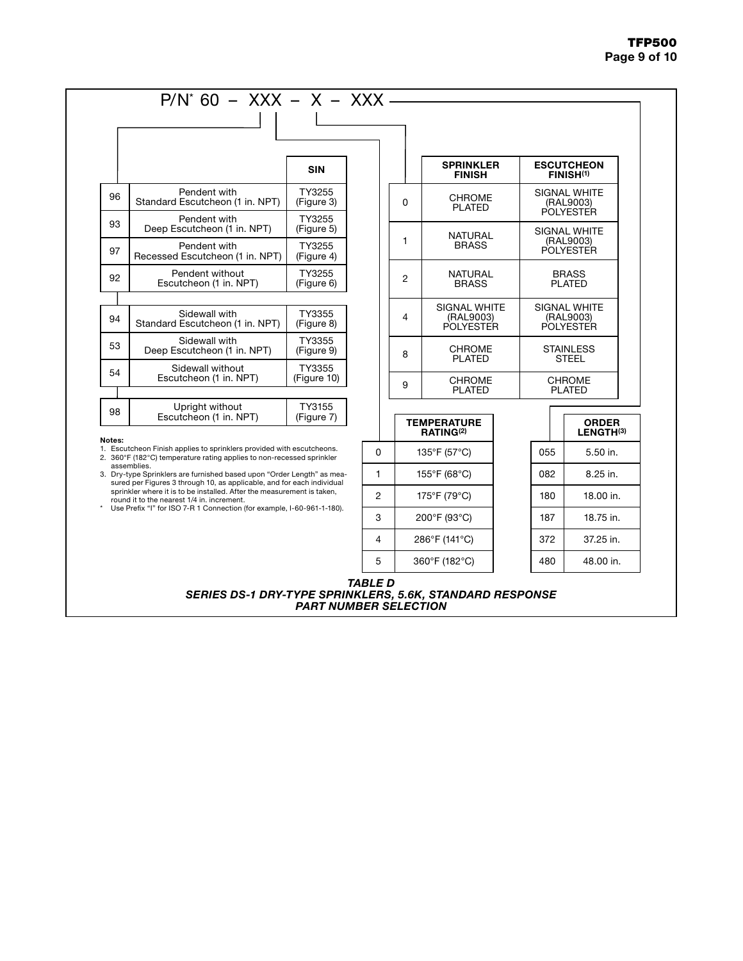## TFP500 Page 9 of 10

|                                                                                                                                                                                                |                                                                                                                                                | <b>SIN</b>            |   |              | <b>SPRINKLER</b><br><b>FINISH</b>             |           | <b>ESCUTCHEON</b><br><b>FINISH(1)</b>         |
|------------------------------------------------------------------------------------------------------------------------------------------------------------------------------------------------|------------------------------------------------------------------------------------------------------------------------------------------------|-----------------------|---|--------------|-----------------------------------------------|-----------|-----------------------------------------------|
| 96                                                                                                                                                                                             | Pendent with<br>Standard Escutcheon (1 in. NPT)                                                                                                | TY3255<br>(Figure 3)  |   | $\Omega$     | <b>CHROME</b><br><b>PLATED</b>                |           | SIGNAL WHITE<br>(RAL9003)<br><b>POLYESTER</b> |
| 93                                                                                                                                                                                             | Pendent with<br>Deep Escutcheon (1 in. NPT)                                                                                                    | TY3255<br>(Figure 5)  |   |              | <b>NATURAL</b>                                |           | SIGNAL WHITE                                  |
| 97                                                                                                                                                                                             | Pendent with<br>Recessed Escutcheon (1 in. NPT)                                                                                                | TY3255<br>(Figure 4)  |   | $\mathbf{1}$ | <b>BRASS</b>                                  |           | (RAL9003)<br>POLYESTER                        |
| 92                                                                                                                                                                                             | Pendent without<br>Escutcheon (1 in. NPT)                                                                                                      | TY3255<br>(Figure 6)  |   | 2            | <b>NATURAL</b><br><b>BRASS</b>                |           | <b>BRASS</b><br><b>PLATED</b>                 |
|                                                                                                                                                                                                |                                                                                                                                                |                       |   |              |                                               |           |                                               |
| 94                                                                                                                                                                                             | Sidewall with<br>Standard Escutcheon (1 in. NPT)                                                                                               | TY3355<br>(Figure 8)  |   | 4            | SIGNAL WHITE<br>(RAL9003)<br><b>POLYESTER</b> |           | <b>SIGNAL WHITE</b><br>(RAL9003)<br>POLYESTER |
| 53                                                                                                                                                                                             | Sidewall with<br>Deep Escutcheon (1 in, NPT)                                                                                                   | TY3355<br>(Figure 9)  |   | 8            | <b>CHROME</b><br><b>PLATED</b>                |           | <b>STAINLESS</b><br><b>STEEL</b>              |
| 54                                                                                                                                                                                             | Sidewall without<br>Escutcheon (1 in. NPT)                                                                                                     | TY3355<br>(Figure 10) |   | 9            | <b>CHROME</b>                                 |           | CHROME                                        |
|                                                                                                                                                                                                |                                                                                                                                                |                       |   |              | <b>PLATED</b>                                 |           | <b>PLATED</b>                                 |
| 98                                                                                                                                                                                             | Upright without<br>Escutcheon (1 in. NPT)                                                                                                      | TY3155<br>(Figure 7)  |   |              | <b>TEMPERATURE</b>                            |           | <b>ORDER</b>                                  |
|                                                                                                                                                                                                |                                                                                                                                                |                       |   |              | RATING <sup>(2)</sup>                         |           | LENGTH(3)                                     |
| Notes:                                                                                                                                                                                         | 1. Escutcheon Finish applies to sprinklers provided with escutcheons.<br>2. 360°F (182°C) temperature rating applies to non-recessed sprinkler |                       | 0 |              | 135°F (57°C)                                  | 055       | 5.50 in.                                      |
| assemblies.<br>3. Dry-type Sprinklers are furnished based upon "Order Length" as mea-<br>sured per Figures 3 through 10, as applicable, and for each individual                                |                                                                                                                                                |                       | 1 |              | 155°F (68°C)                                  | 082       | 8.25 in.                                      |
| sprinkler where it is to be installed. After the measurement is taken,<br>round it to the nearest 1/4 in. increment.<br>Use Prefix "I" for ISO 7-R 1 Connection (for example, I-60-961-1-180). |                                                                                                                                                | $\overline{2}$        |   | 175°F (79°C) | 180                                           | 18.00 in. |                                               |
|                                                                                                                                                                                                |                                                                                                                                                | 3                     |   | 200°F (93°C) | 187                                           | 18.75 in. |                                               |
|                                                                                                                                                                                                |                                                                                                                                                |                       | 4 |              | 286°F (141°C)                                 | 372       | 37.25 in.                                     |
|                                                                                                                                                                                                |                                                                                                                                                |                       | 5 |              | 360°F (182°C)                                 | 480       | 48.00 in.                                     |

### *TABLE D SERIES DS-1 DRY-TYPE SPRINKLERS, 5.6K, STANDARD RESPONSE PART NUMBER SELECTION*